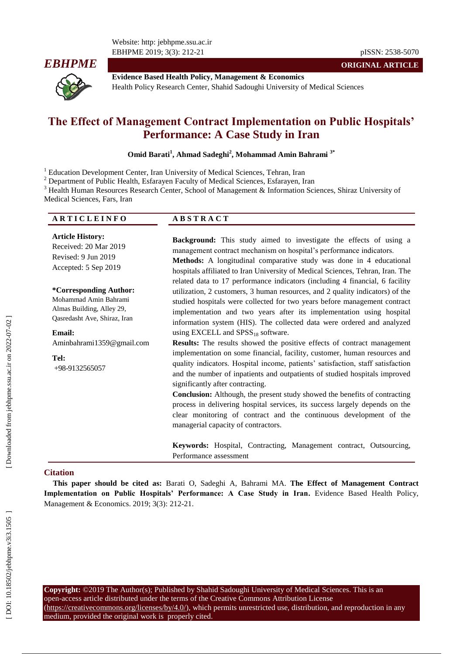Website: http: jebhpme.ssu.ac.ir EBHPME 2019; 3(3): 212



**Evidence Based Health Policy, Management & Economics** Health Policy Research Center, Shahid Sadoughi University of Medical Sciences

# **The Effect of Management Contract Implementation on Public Hospitals' Performance: A Case Study in Iran**

Omid Barati<sup>1</sup>, Ahmad Sadeghi<sup>2</sup>, Mohammad Amin Bahrami<sup>3\*</sup>

<sup>1</sup> Education Development Center, Iran University of Medical Sciences, Tehran, Iran<br><sup>2</sup> Department of Public Health, Esfarayen Faculty of Medical Sciences, Esfarayen, Iran<br><sup>3</sup> Health Human Resources Research Center, Schoo Medical Sciences, Fars, Iran

| ARTICLEINFO | <b>ABSTRACT</b> |
|-------------|-----------------|
|             |                 |

**Article History:** Received: 20 Mar 201 9 Revised: 9 Jun 201 9 Accepted: 5 Sep 201 9

**\*Corresponding Author:** Mohammad Amin Bahrami Almas Building, Alley 29, Qasredasht Ave, Shiraz, Iran

# **Email:**

[Aminbahrami1359@gmail.com](mailto:Aminbahrami1359@gmail.com)

**Tel:** +98 -9132565057 **Background:** This study aimed to investigate the effects of using a management contract mechanism on hospital's performance indicators. **Methods:** A longitudinal comparative study was done in 4 educational

hospitals affiliated to Iran University of Medical Sciences, Tehran, Iran. The related data to 17 performance indicators (including 4 financial, 6 facility utilization, 2 customers, 3 human resources, and 2 quality indicators) of the studied hospitals were collected for two years before management contract implementation and two years after its implementation using hospital information system (HIS). The collected data were ordered and analyzed using EXCELL and  $SPSS_{18}$  software.

**Results:** The results showed the positive effects of contract management implementation on some financial, facility, customer, human resources and quality indicators. Hospital income, patients' satisfaction, staff satisfaction and the number of inpatients and outpatients of studied hospitals improved significantly after contracting.

**Conclusion:** Although, the present study showed the benefits of contracting process in delivering hospital services, its success largely depends on the clear monitoring of contract and the continuous development of the managerial capacity of contractors.

**Keywords:** Hospital, Contracting, Management contract, Outsourcing, Performance assessment

#### **Citation**

**This paper should be cited as:** Barati O, Sadeghi A, Bahrami MA. **The Effect of Management Contract Implementation on Public Hospitals' Performance: A Case Study in Iran .** Evidence Based Health Policy, Management & Economics. 2019; 3(3): 212 -21.

**Copyright:** ©2019 The Author(s); Published by Shahid Sadoughi University of Medical Sciences. This is an open -access article distributed under the terms of the Creative Commons Attribution License (https://creativecommons.org/licenses/by/4.0/), which permits unrestricted use, distribution, and reproduction in any medium, provided the original work is properly cited.

**ORIGINAL ARTICLE**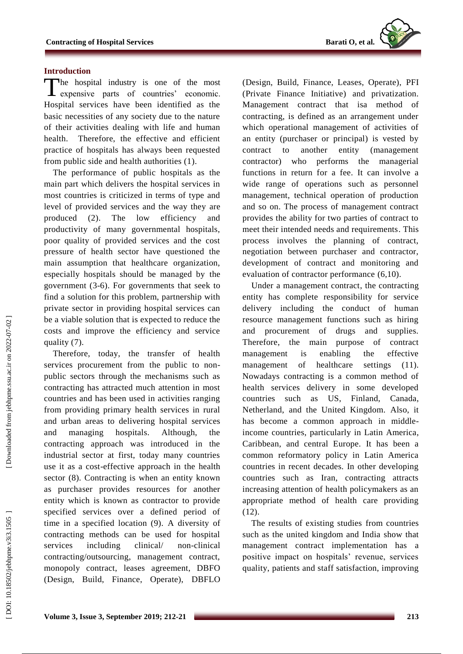

## **Introduction**

The hospital industry is one of the most expensive parts of countries' economic. expensive parts of countries' economic. Hospital services have been identified as the basic necessities of any society due to the nature of their activities dealing with life and human health. Therefore, the effective and efficient practice of hospitals has always been requested from public side and health authorities (1).

The performance of public hospitals as the main part which delivers the hospital services in most countries is criticized in terms of type and level of provided services and the way they are produced (2). The low efficiency and productivity of many governmental hospitals, poor quality of provided services and the cost pressure of health sector have questioned the main assumption that healthcare organization, especially hospitals should be managed by the government (3 - 6). For governments that seek to find a solution for this problem, partnership with private sector in providing hospital services can be a viable solution that is expected to reduce the costs and improve the efficiency and service quality (7).

Therefore, today, the transfer of health services procurement from the public to nonpublic sectors through the mechanisms such as contracting has attracted much attention in most countries and has been used in activities ranging from providing primary health services in rural and urban areas to delivering hospital services and managing hospitals. Although, the contracting approach was introduced in the industrial sector at first, today many countries use it as a cost -effective approach in the health sector (8). Contracting is when an entity known as purchaser provides resources for another entity which is known as contractor to provide specified services over a defined period of time in a specified location (9). A diversity of contracting methods can be used for hospital services including clinical/ -clinical contracting/outsourcing, management contract, monopoly contract, leases agreement, DBFO (Design, Build, Finance, Operate), DBFLO

(Design, Build, Finance, Leases, Operate), PFI (Private Finance Initiative) and privatization. Management contract that isa method of contracting, is defined as an arrangement under which operational management of activities of an entity (purchaser or principal) is vested by contract to another entity (management contractor) who performs the managerial functions in return for a fee. It can involve a wide range of operations such as personnel management, technical operation of production and so on. The process of management contract provides the ability for two parties of contract to meet their intended needs and requirements. This process involves the planning of contract, negotiation between purchaser and contractor, development of contract and monitoring and evaluation of contractor performance (6,10).

Under a management contract , the contracting entity has complete responsibility for service delivery including the conduct of human resource management functions such as hiring and procurement of drugs and supplies. Therefore , the main purpose of contract management is enabling the effective management of healthcare settings (11). Nowadays contracting is a common method of health services delivery in some developed countries such as US, Finland, Canada, Netherland , and the United Kingdom. Also, it has become a common approach in middle income countries, particularly in Latin America, Caribbean , and central Europe. It has been a common reformatory policy in Latin America countries in recent decades. In other developing countries such as Iran, contracting attracts increasing attention of health policymakers as an appropriate method of health care providing (12).

The results of existing studies from countries such as the united kingdom and India show that management contract implementation has a positive impact on hospitals' revenue, services quality, patients and staff satisfaction, improving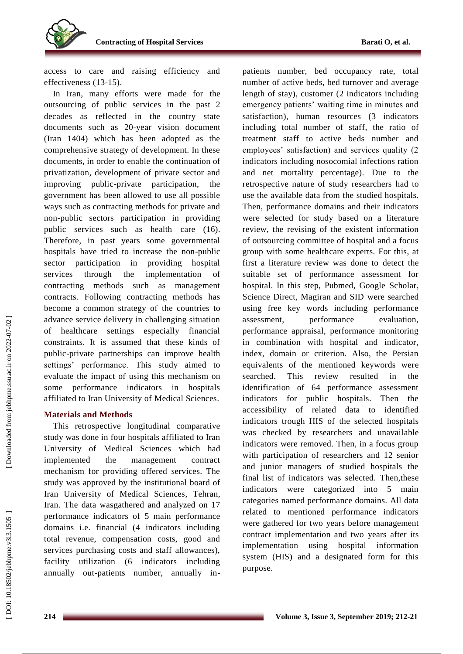

access to care and raising efficiency and effectiveness (13 -15).

In Iran, many efforts were made for the outsourcing of public services in the past 2 decades as reflected in the country state documents such as 20-year vision document (Iran 1404) which has been adopted as the comprehensive strategy of development. In these documents, in order to enable the continuation of privatization, development of private sector and improving public -private participation, the government has been allowed to use all possible ways such as contracting methods for private and non -public sectors participation in providing public services such as health care (16). Therefore, in past years some governmental hospitals have tried to increase the non -public sector participation in providing hospital services through the implementation of contracting methods such as management contract s . Following contracting methods has become a common strategy of the countries to advance service delivery in challenging situation of healthcare settings especially financial constraints. It is assumed that these kinds of public -private partnerships can improve health settings' performance. This study aimed to evaluate the impact of using this mechanism on some performance indicators in hospitals affiliated to Iran University of Medical Sciences.

# **Materials and Methods**

This retrospective longitudinal comparative study was done in four hospitals affiliated to Iran University of Medical Sciences which had implemented the management contract mechanism for providing offered services. The study was approved by the institutional board of Iran University of Medical Sciences, Tehran, Iran. The data wasgathered and analyzed on 17 performance indicators of 5 main performance domains i.e. financial (4 indicators including total revenue, compensation costs, good and services purchasing costs and staff allowances), facility utilization (6 indicators including annually out -patients number, annually in -

patients number, bed occupancy rate, total number of active beds, bed turnover and average length of stay), customer (2 indicators including emergency patients' waiting time in minutes and satisfaction), human resources (3 indicators including total number of staff, the ratio of treatment staff to active beds number and employees' satisfaction) and services quality (2 indicators including nosocomial infections ration and net mortality percentage). Due to the retrospective nature of study researchers had to use the available data from the studied hospitals. Then, performance domains and their indicators were selected for study based on a literature review, the revising of the existent information of outsourcing committee of hospital and a focus group with some healthcare experts. For this, at first a literature review was done to detect the suitable set of performance assessment for hospital. In this step, Pubmed, Google Scholar, Science Direct, Magiran and SID were searched using free key words including performance assessment, performance evaluation, performance appraisal, performance monitoring in combination with hospital and indicator, index, domain or criterion. Also, the Persian equivalents of the mentioned keywords were searched. This review resulted in the identification of 64 performance assessment indicators for public hospitals. Then the accessibility of related data to identified indicators trough HIS of the selected hospitals was checked by researchers and unavailable indicators were removed. Then, in a focus group with participation of researchers and 12 senior and junior managers of studied hospitals the final list of indicators was selected. Then,these indicators were categorized into 5 main categories named performance domains. All data related to mentioned performance indicators were gathered for two years before management contract implementation and two years after its implementation using hospital information system (HIS) and a designated form for this purpose.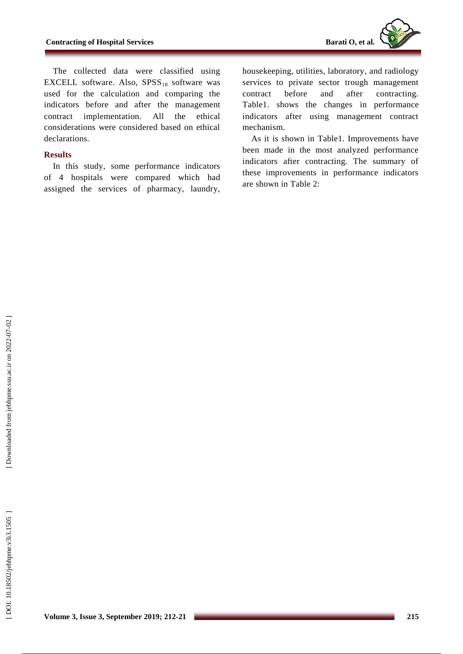The collected data were classified using EXCELL software. Also,  $SPSS_{18}$  software was used for the calculation and comparing the indicators before and after the management contract implementation. All the ethical considerations were considered based on ethical declarations.

# **Results**

In this study , some performance indicators of 4 hospitals were compared which had assigned the services of pharmacy, laundry,

housekeeping, utilities, laboratory , and radiology services to private sector trough management contract before and after contracting. Table1. shows the changes in performance indicators after using management contract mechanism .

As it is shown in Table1. Improvements have been made in the most analyzed performance indicators after contracting. The summary of these improvements in performance indicators are shown in Table 2: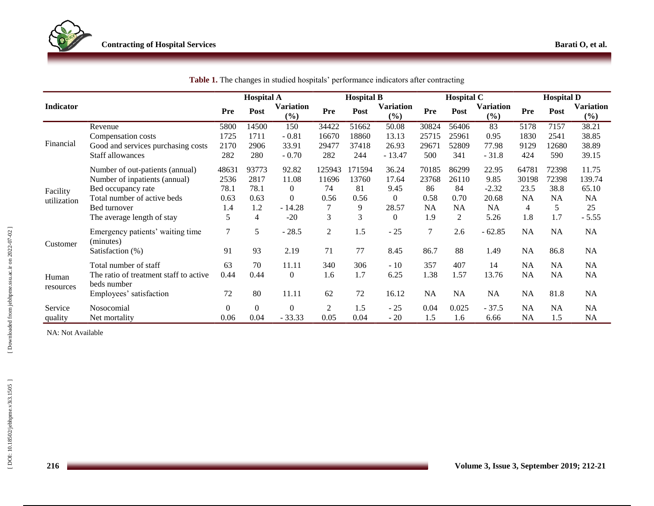|                                |                                                       | <b>Hospital A</b> |                |                         | <b>Hospital B</b> |        |                            | <b>Hospital C</b> |           |                            | <b>Hospital D</b> |           |                         |
|--------------------------------|-------------------------------------------------------|-------------------|----------------|-------------------------|-------------------|--------|----------------------------|-------------------|-----------|----------------------------|-------------------|-----------|-------------------------|
| Indicator                      |                                                       | Pre               | Post           | <b>Variation</b><br>(%) | Pre               | Post   | <b>Variation</b><br>$(\%)$ | Pre               | Post      | <b>Variation</b><br>$(\%)$ | Pre               | Post      | <b>Variation</b><br>(%) |
| Financial                      | Revenue                                               | 5800              | 14500          | 150                     | 34422             | 51662  | 50.08                      | 30824             | 56406     | 83                         | 5178              | 7157      | 38.21                   |
|                                | Compensation costs                                    | 1725              | 1711           | $-0.81$                 | 16670             | 18860  | 13.13                      | 25715             | 25961     | 0.95                       | 1830              | 2541      | 38.85                   |
|                                | Good and services purchasing costs                    | 2170              | 2906           | 33.91                   | 29477             | 37418  | 26.93                      | 29671             | 52809     | 77.98                      | 9129              | 12680     | 38.89                   |
|                                | Staff allowances                                      | 282               | 280            | $-0.70$                 | 282               | 244    | $-13.47$                   | 500               | 341       | $-31.8$                    | 424               | 590       | 39.15                   |
|                                | Number of out-patients (annual)                       | 48631             | 93773          | 92.82                   | 125943            | 171594 | 36.24                      | 70185             | 86299     | 22.95                      | 64781             | 72398     | 11.75                   |
|                                | Number of inpatients (annual)                         | 2536              | 2817           | 11.08                   | 11696             | 13760  | 17.64                      | 23768             | 26110     | 9.85                       | 30198             | 72398     | 139.74                  |
| Facility                       | Bed occupancy rate                                    | 78.1              | 78.1           | $\overline{0}$          | 74                | 81     | 9.45                       | 86                | 84        | $-2.32$                    | 23.5              | 38.8      | 65.10                   |
| utilization                    | Total number of active beds                           | 0.63              | 0.63           | $\Omega$                | 0.56              | 0.56   | $\Omega$                   | 0.58              | 0.70      | 20.68                      | <b>NA</b>         | <b>NA</b> | <b>NA</b>               |
|                                | Bed turnover                                          | 1.4               | 1.2            | $-14.28$                |                   | 9      | 28.57                      | NA                | <b>NA</b> | <b>NA</b>                  | $\overline{4}$    | 5         | 25                      |
|                                | The average length of stay                            | 5                 | $\overline{4}$ | $-20$                   | 3                 | 3      | $\overline{0}$             | 1.9               | 2         | 5.26                       | 1.8               | 1.7       | $-5.55$                 |
| Customer<br>Human<br>resources | Emergency patients' waiting time<br>(minutes)         | $\tau$            | 5              | $-28.5$                 | $\overline{2}$    | 1.5    | $-25$                      | 7                 | 2.6       | $-62.85$                   | <b>NA</b>         | NA        | NA                      |
|                                | Satisfaction (%)                                      | 91                | 93             | 2.19                    | 71                | 77     | 8.45                       | 86.7              | 88        | 1.49                       | <b>NA</b>         | 86.8      | <b>NA</b>               |
|                                | Total number of staff                                 | 63                | 70             | 11.11                   | 340               | 306    | $-10$                      | 357               | 407       | 14                         | NA                | NA        | NA                      |
|                                | The ratio of treatment staff to active<br>beds number | 0.44              | 0.44           | $\overline{0}$          | 1.6               | 1.7    | 6.25                       | 1.38              | 1.57      | 13.76                      | <b>NA</b>         | NA        | NA                      |
|                                | Employees' satisfaction                               | 72                | 80             | 11.11                   | 62                | 72     | 16.12                      | <b>NA</b>         | NA        | <b>NA</b>                  | <b>NA</b>         | 81.8      | NA                      |
| Service                        | Nosocomial                                            | $\overline{0}$    | $\mathbf{0}$   | $\mathbf{0}$            | $\mathfrak{2}$    | 1.5    | $-25$                      | 0.04              | 0.025     | $-37.5$                    | NA                | <b>NA</b> | NA                      |
| quality                        | Net mortality                                         | 0.06              | 0.04           | $-33.33$                | 0.05              | 0.04   | $-20$                      | 1.5               | 1.6       | 6.66                       | <b>NA</b>         | 1.5       | <b>NA</b>               |

|  |  |  |  |  | Table 1. The changes in studied hospitals' performance indicators after contracting |  |  |  |
|--|--|--|--|--|-------------------------------------------------------------------------------------|--|--|--|
|--|--|--|--|--|-------------------------------------------------------------------------------------|--|--|--|

NA: Not Available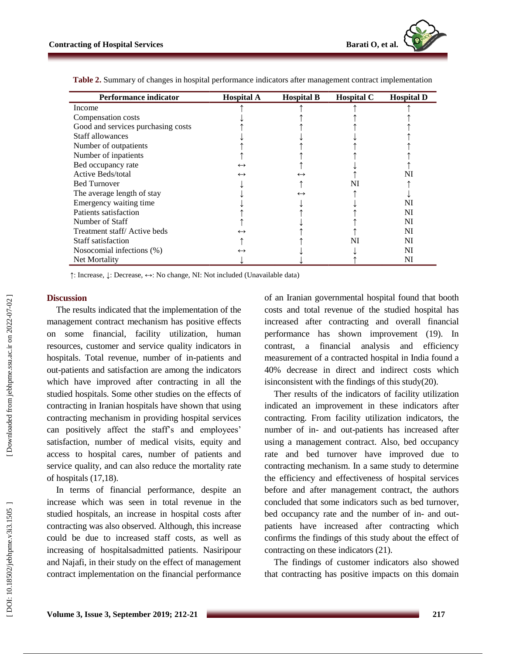| <b>Performance indicator</b>       | <b>Hospital A</b> | <b>Hospital B</b> | <b>Hospital C</b> | <b>Hospital D</b> |
|------------------------------------|-------------------|-------------------|-------------------|-------------------|
| Income                             |                   |                   |                   |                   |
| Compensation costs                 |                   |                   |                   |                   |
| Good and services purchasing costs |                   |                   |                   |                   |
| Staff allowances                   |                   |                   |                   |                   |
| Number of outpatients              |                   |                   |                   |                   |
| Number of inpatients               |                   |                   |                   |                   |
| Bed occupancy rate                 | $\leftrightarrow$ |                   |                   |                   |
| Active Beds/total                  | $\leftrightarrow$ | $\leftrightarrow$ |                   | NI                |
| <b>Bed Turnover</b>                |                   |                   | NI                |                   |
| The average length of stay         |                   | $\leftrightarrow$ |                   |                   |
| Emergency waiting time             |                   |                   |                   | NI                |
| Patients satisfaction              |                   |                   |                   | NI                |
| Number of Staff                    |                   |                   |                   | NI                |
| Treatment staff/Active beds        | $\leftrightarrow$ |                   |                   | NI                |
| Staff satisfaction                 |                   |                   | NI                | NI                |
| Nosocomial infections (%)          | $\leftrightarrow$ |                   |                   | NI                |
| Net Mortality                      |                   |                   |                   | NI                |

**Table 2.** Summary of changes in hospital performance indicators after management contract implementation

↑: Increase, ↓: Decrease, ↔: No change, NI: Not included (Unavailable data )

#### **Discussion**

The results indicated that the implementation of the management contract mechanism has positive effects on some financial, facility utilization, human resources, customer and service quality indicators in hospitals. Total revenue, number of in -patients and out -patients and satisfaction are among the indicators which have improved after contracting in all the studied hospitals. Some other studies on the effects of contracting in Iranian hospitals have shown that using contracting mechanism in providing hospital services can positively affect the staff's and employees' satisfaction, number of medical visits, equity and access to hospital cares, number of patients and service quality, and can also reduce the mortality rate of hospitals (17,18).

In terms of financial performance, despite an increase which was seen in total revenue in the studied hospitals , an increase in hospital costs after contracting was also observed. Although, this increase could be due to increased staff costs, as well as increasing of hospitalsadmitted patients. Nasiripour and Najafi, in their study on the effect of management contract implementation on the financial performance

of an Iranian governmental hospital found that booth costs and total revenue of the studied hospital has increased after contracting and overall financial performance has shown improvement (19). In contrast, a financial analysis and efficiency measurement of a contracted hospital in India found a 40% decrease in direct and indirect costs which isinconsistent with the findings of this study(20).

Ther results of the indicators of facility utilization indicated an improvement in these indicators after contracting. From facility utilization indicators, the number of in - and out -patients has increased after using a management contract. Also, bed occupancy rate and bed turnover have improved due to contracting mechanism. In a same study to determine the efficiency and effectiveness of hospital services before and after management contract, the authors concluded that some indicators such as bed turnover, bed occupancy rate and the number of in- and outpatients have increased after contracting which confirms the findings of this study about the effect of contracting on these indicators (21).

The findings of customer indicators also showed that contracting has positive impacts on this domain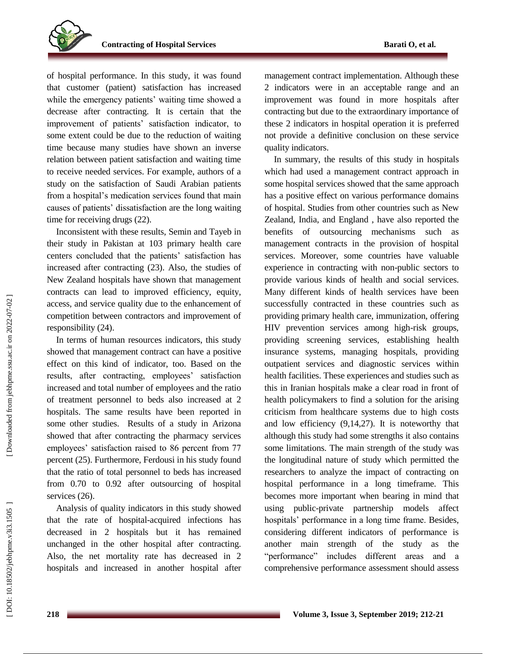of hospital performance. In this study, it was found that customer (patient) satisfaction has increased while the emergency patients' waiting time showed a decrease after contracting. It is certain that the improvement of patients' satisfaction indicator, to some extent could be due to the reduction of waiting time because many studies have shown an inverse relation between patient satisfaction and waiting time to receive needed services. For example, authors of a study on the satisfaction of Saudi Arabian patients from a hospital's medication services found that main causes of patients' dissatisfaction are the long waiting time for receiving drugs (22).

Inconsistent with these results, Semin and Tayeb in their study in Pakistan at 103 primary health care centers concluded that the patients' satisfaction has increased after contracting (23). Also, the studies of New Zealand hospitals have shown that management contract s can lead to improved efficiency, equity, access , and service quality due to the enhancement of competition between contractors and improvement of responsibility (24).

In terms of human resources indicators, this study showed that management contract can have a positive effect on this kind of indicator, too. Based on the results, after contracting, employees' satisfaction increased and total number of employees and the ratio of treatment personnel to beds also increased at 2 hospitals. The same results have been reported in some other studies. Results of a study in Arizona showed that after contracting the pharmacy services employees' satisfaction raised to 86 percent from 77 percent (25). Furthermore, Ferdousi in his study found that the ratio of total personnel to beds has increased from 0.70 to 0.92 after outsourcing of hospital services  $(26)$ .

Analysis of quality indicators in this study showed that the rate of hospital -acquired infections has decreased in 2 hospitals but it has remained unchanged in the other hospital after contracting. Also, the net mortality rate has decreased in 2 hospitals and increased in another hospital after

management contract implementation. Although these 2 indicators were in an acceptable range and an improvement was found in more hospitals after contracting but due to the extraordinary importance of these 2 indicators in hospital operation it is prefe rred not provide a definitive conclusion on these service quality indicators.

In summary, the results of this study in hospitals which had used a management contract approach in some hospital services showed that the same approach has a positive effect on various performance domains of hospital. Studies from other countries such as New Zealand, India , and England , have also reported the benefits of outsourcing mechanisms such as management contract s in the provision of hospital services. Moreover, some countries have valuable experience in contracting with non -public sectors to provide various kinds of health and social services. Many different kind s of health services have been successfully contracted in these countries such as providing primary health care, immunization, offering HIV prevention services among high -risk groups, providing screening services, establishing health insurance systems, managing hospitals, providing outpatient services and diagnostic services within health facilities. These experiences and studies such as this in Iranian hospitals make a clear road in front of health policymakers to find a solution for the arising criticism from healthcare systems due to high costs and low efficiency (9,14,27). It is noteworthy that although this study had some strengths it also contains some limitations. The main strength of the study was the longitudinal nature of study which permitted the researchers to analyze the impact of contracting on hospital performance in a long timeframe. This becomes more important when bearing in mind that using public -private partnership models affect hospitals' performance in a long time frame. Besides, considering different indicators of performance is another main strength of the study as the "performance" includes different areas and a comprehensive performance assessment should assess

DOI: 10.18502/jebhpme.v3i3.1505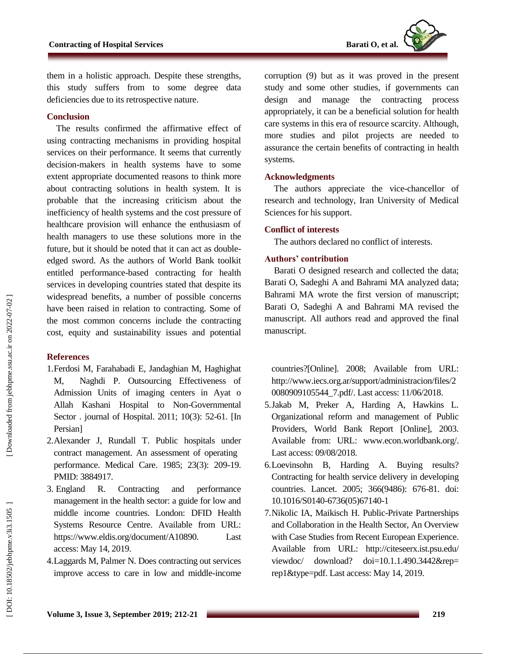

them in a holistic approach. Despite these strengths, this study suffers from to some degree data deficiencies due to its retrospective nature.

## **Conclusion**

The results confirmed the affirmative effect of using contracting mechanisms in providing hospital services on their performance. It seems that currently decision -makers in health systems have to some extent appropriate documented reasons to think more about contracting solutions in health system. It is probable that the increasing criticism about the inefficiency of health systems and the cost pressure of healthcare provision will enhance the enthusiasm of health managers to use these solutions more in the future, but it should be noted that it can act as double edged sword. As the authors of World Bank toolkit entitled performance -based contracting for health services in developing countries stated that despite its widespread benefits, a number of possible concerns have been raised in relation to contracting. Some of the most common concerns include the contracting cost, equity and sustainability issues and potential

#### **References**

- 1.Ferdosi M, Farahabadi E, Jandaghian M, Haghighat M, Naghdi P. Outsourcing Effectiveness of Admission Units of imaging centers in Ayat o Allah Kashani Hospital to Non -Governmental Sector . journal of Hospital. 2011; 10(3): 52 -61. [In Persian]
- 2 .Alexander J, Rundall T. Public hospitals under contract management. An assessment of operating performance. Medical Care . 1985; 23(3): 209 -19. PMID: 3884917.
- 3. England R. Contracting and performance management in the health sector: a guide for low and middle income countries. London: DFID Health Systems Resource Centre. Available from URL: https://www.eldis.org/document/A10890. Last access: May 14, 2019.
- 4 .Laggards M, Palmer N. Does contracting out services improve access to care in low and middle -income

corruption (9) but as it was proved in the present study and some other studies , if governments can design and manage the contracting process appropriately, it can be a beneficial solution for health care systems in this era of resource scarcity. Although, more studies and pilot projects are needed to assurance the certain benefits of contracting in health systems.

# **Acknowledgment s**

The authors appreciate the vice -chancellor of research and technology, Iran University of Medical Sciences for his support.

# **Conflict of interest s**

The authors declare d no conflict of interests.

# **Authors' contribution**

Barati O designed research and collected the data; Barati O, Sadeghi A and Bahrami MA analyzed data; Bahrami MA wrote the first version of manuscript; Barati O, Sadeghi A and Bahrami MA revised the manuscript. All authors read and approved the final manuscript.

countries?[Online]. 2008; Available from URL: [http://www.iecs.org.ar/support/administracion/files/2](http://www.iecs.org.ar/support/administracion/files/20080909105544_7.pdf/) [0080909105544\\_7.pdf/.](http://www.iecs.org.ar/support/administracion/files/20080909105544_7.pdf/) Last access: 11/06/2018.

- 5 .Jakab M, Preker A, Harding A, Hawkins L. Organizational reform and management of Public Providers, World Bank Report [Online], 2003. Available from: URL: [www.econ.worldbank.org/.](http://www.econ.worldbank.org/) Last access: 09/08/2018.
- 6 .Loevinsohn B, Harding A. Buying results? Contracting for health service delivery in developing countries. Lancet. 2005; 366(9486): 676 -81. doi: 10.1016/S0140 -6736(05)67140 - 1
- 7 .Nikolic IA, Maikisch H. Public -Private Partnerships and Collaboration in the Health Sector, An Overview with Case Studies from Recent European Experience. Available from URL: http://citeseerx.ist.psu.edu/ viewdoc/ download? doi=10.1.1.490.3442&rep= rep1&type=pdf. Last access: May 14, 2019.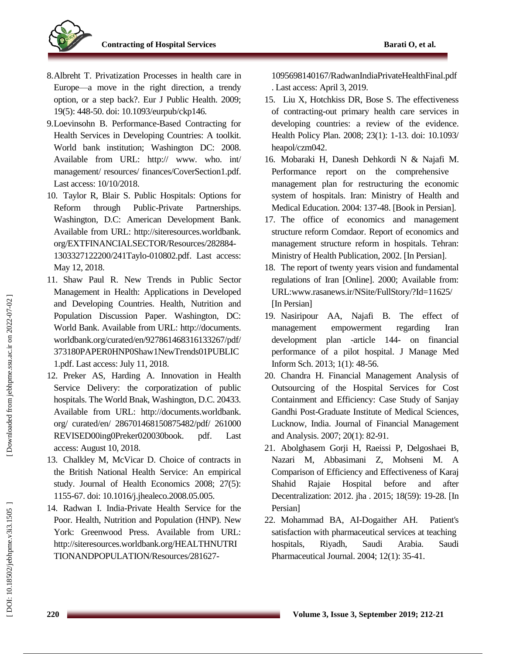

- 8 .Albreht T. Privatization Processes in health care in Europe—a move in the right direction, a trendy option, or a step back?. Eur J Public Health. 2009; 19(5): 448 -50. doi: 10.1093/eurpub/ckp146.
- 9 .Loevinsohn B. Performance -Based Contracting for Health Services in Developing Countries: A toolkit. World bank institution; Washington DC: 2008. Available from URL: http:// www. who. int/ management/ resources/ finances/CoverSection1.pdf. Last access: 10/10/2018.
- 10 . Taylor R, Blair S. Public Hospitals: Options for Reform through Public-Private Partnerships. Washington, D.C: American Development Bank. Available from URL: http://siteresources.worldbank. org/EXTFINANCIALSECTOR/Resources/282884 - 1303327122200/241Taylo -010802.pdf. Last access: May 12, 2018.
- 11 . Shaw Paul R. New Trends in Public Sector Management in Health: Applications in Developed and Developing Countries. Health, Nutrition and Population Discussion Paper. Washington, DC: World Bank. Available from URL: http://documents. worldbank.org/curated/en/927861468316133267/pdf/ 373180PAPER0HNP0Shaw1NewTrends01PUBLIC 1.pdf. Last access: July 11, 2018.
- 12 . Preker AS, Harding A. Innovation in Health Service Delivery: the corporatization of public hospitals. The World Bnak, Washington, D.C. 20433. Available from URL: http://documents.worldbank. org/ curated/en/ 286701468150875482/pdf/ 261000 REVISED00ing0Preker020030book. pdf. Last access: August 10, 2018.
- 13 . Chalkley M, McVicar D. Choice of contracts in the British National Health Service: An empirical study. Journal of Health Economics 2008; 27(5): 1155 -67. doi: 10.1016/j.jhealeco.2008.05.005.
- 14 . Radwan I. India -Private Health Service for the Poor. Health, Nutrition and Population (HNP). New York: Greenwood Press. Available from URL: http://siteresources.worldbank.org/HEALTHNUTRI TIONANDPOPULATION/Resources/281627 -

1095698140167/RadwanIndiaPrivateHealthFinal.pdf . Last access: April 3, 2019.

- 15 . Liu X, Hotchkiss DR, Bose S. The effectiveness of contracting -out primary health care services in developing countries: a review of the evidence. Health Policy Plan. 2008; 23(1): 1 -13. doi: 10.1093/ heapol/czm042 .
- 16 . Mobaraki H, Danesh Dehkordi N & Najafi M. Performance report on the comprehensive management plan for restructuring the economic system of hospitals. Iran: Ministry of Health and Medical Education. 2004: 137 -48. [Book in Persian].
- 17 . The office of economics and management structure reform Comdaor. Report of economics and management structure reform in hospitals. Tehran: Ministry of Health Publication, 2002. [In Persian] .
- 18 . The report of twenty years vision and fundamental regulations of Iran [Online]. 2000; Available from: [URL:www.rasanews.ir/NSite/FullStory/?Id=11625/](file:///F:/آرشیو%20نسخه%20های%20مجلات%20دانشکده%20بهداشت/Downloads/www.rasanews.ir/NSite/FullStory/%3fId=11625/) [In Persian]
- 19. Nasiripour AA, Najafi B. The effect of management empowerment regarding Iran development plan -article 144 144- on financial performance of a pilot hospital. J Manage Med Inform Sch . 2013; 1(1): 48 -56.
- 20 . Chandra H. Financial Management Analysis of Outsourcing of the Hospital Services for Cost Containment and Efficiency: Case Study of Sanjay Gandhi Post -Graduate Institute of Medical Sciences, Lucknow, India. Journal of Financial Management and Analysis . 2007; 20(1): 82 -91.
- 21 . Abolghasem Gorji H, Raeissi P, Delgoshaei B, Nazari M, Abbasimani Z, Mohseni M. Comparison of Efficiency and Effectiveness of Karaj Shahid Rajaie Hospital before and after Decentralization: 2012. jha . 2015; 18(59): 19 -28. [In Persian]
- 22 . Mohammad BA, AI -Dogaither AH. Patient's satisfaction with pharmaceutical services at teaching hospitals, Riyadh, Saudi Arabia. Saudi Pharmaceutical Journal . 2004; 12(1): 35 -41.